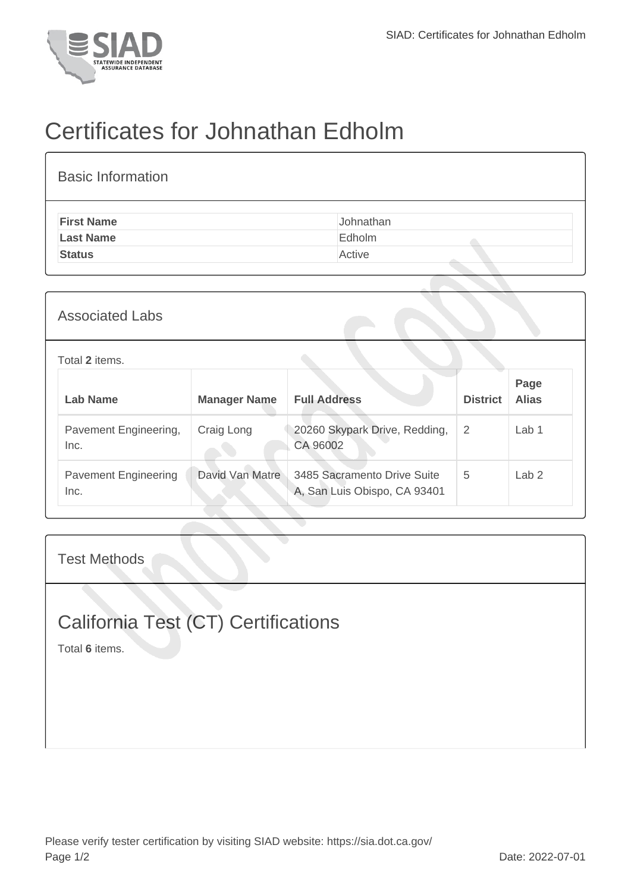

## Certificates for Johnathan Edholm

| <b>Basic Information</b> |           |
|--------------------------|-----------|
| <b>First Name</b>        | Johnathan |
| <b>Last Name</b>         | Edholm    |
| <b>Status</b>            | Active    |
|                          |           |

| <b>Associated Labs</b>              |                     |                                                             |                 |                      |  |
|-------------------------------------|---------------------|-------------------------------------------------------------|-----------------|----------------------|--|
| Total 2 items.                      |                     |                                                             |                 |                      |  |
| Lab Name                            | <b>Manager Name</b> | <b>Full Address</b>                                         | <b>District</b> | Page<br><b>Alias</b> |  |
| Pavement Engineering,<br>Inc.       | Craig Long          | 20260 Skypark Drive, Redding,<br>CA 96002                   | $\overline{2}$  | Lab <sub>1</sub>     |  |
| <b>Pavement Engineering</b><br>Inc. | David Van Matre     | 3485 Sacramento Drive Suite<br>A, San Luis Obispo, CA 93401 | 5               | Lab <sub>2</sub>     |  |

Test Methods

## California Test (CT) Certifications

Total **6** items.